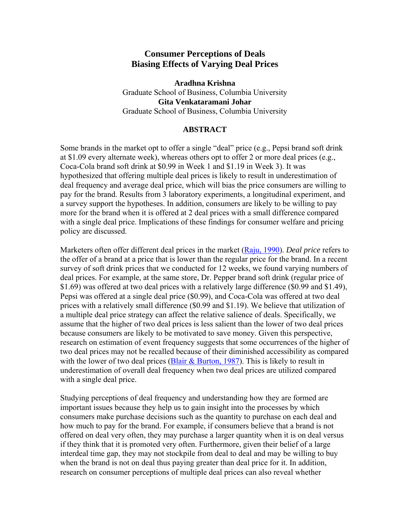# **Consumer Perceptions of Deals Biasing Effects of Varying Deal Prices**

**Aradhna Krishna** Graduate School of Business, Columbia University **Gita Venkataramani Johar** Graduate School of Business, Columbia University

#### **ABSTRACT**

Some brands in the market opt to offer a single "deal" price (e.g., Pepsi brand soft drink at \$1.09 every alternate week), whereas others opt to offer 2 or more deal prices (e.g., Coca-Cola brand soft drink at \$0.99 in Week 1 and \$1.19 in Week 3). It was hypothesized that offering multiple deal prices is likely to result in underestimation of deal frequency and average deal price, which will bias the price consumers are willing to pay for the brand. Results from 3 laboratory experiments, a longitudinal experiment, and a survey support the hypotheses. In addition, consumers are likely to be willing to pay more for the brand when it is offered at 2 deal prices with a small difference compared with a single deal price. Implications of these findings for consumer welfare and pricing policy are discussed.

Marketers often offer different deal prices in the market (Raju, 1990). *Deal price* refers to the offer of a brand at a price that is lower than the regular price for the brand. In a recent survey of soft drink prices that we conducted for 12 weeks, we found varying numbers of deal prices. For example, at the same store, Dr. Pepper brand soft drink (regular price of \$1.69) was offered at two deal prices with a relatively large difference (\$0.99 and \$1.49), Pepsi was offered at a single deal price (\$0.99), and Coca-Cola was offered at two deal prices with a relatively small difference (\$0.99 and \$1.19). We believe that utilization of a multiple deal price strategy can affect the relative salience of deals. Specifically, we assume that the higher of two deal prices is less salient than the lower of two deal prices because consumers are likely to be motivated to save money. Given this perspective, research on estimation of event frequency suggests that some occurrences of the higher of two deal prices may not be recalled because of their diminished accessibility as compared with the lower of two deal prices (Blair  $&$  Burton, 1987). This is likely to result in underestimation of overall deal frequency when two deal prices are utilized compared with a single deal price.

Studying perceptions of deal frequency and understanding how they are formed are important issues because they help us to gain insight into the processes by which consumers make purchase decisions such as the quantity to purchase on each deal and how much to pay for the brand. For example, if consumers believe that a brand is not offered on deal very often, they may purchase a larger quantity when it is on deal versus if they think that it is promoted very often. Furthermore, given their belief of a large interdeal time gap, they may not stockpile from deal to deal and may be willing to buy when the brand is not on deal thus paying greater than deal price for it. In addition, research on consumer perceptions of multiple deal prices can also reveal whether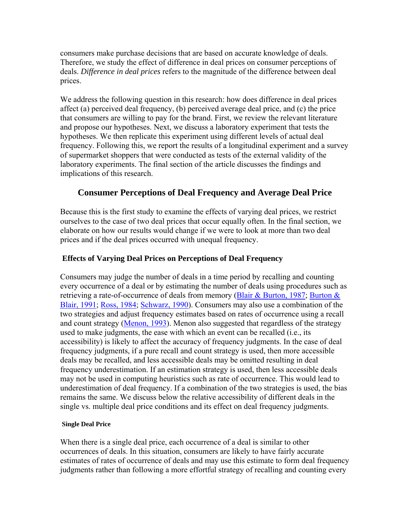consumers make purchase decisions that are based on accurate knowledge of deals. Therefore, we study the effect of difference in deal prices on consumer perceptions of deals. *Difference in deal prices* refers to the magnitude of the difference between deal prices.

We address the following question in this research: how does difference in deal prices affect (a) perceived deal frequency, (b) perceived average deal price, and (c) the price that consumers are willing to pay for the brand. First, we review the relevant literature and propose our hypotheses. Next, we discuss a laboratory experiment that tests the hypotheses. We then replicate this experiment using different levels of actual deal frequency. Following this, we report the results of a longitudinal experiment and a survey of supermarket shoppers that were conducted as tests of the external validity of the laboratory experiments. The final section of the article discusses the findings and implications of this research.

# **Consumer Perceptions of Deal Frequency and Average Deal Price**

Because this is the first study to examine the effects of varying deal prices, we restrict ourselves to the case of two deal prices that occur equally often. In the final section, we elaborate on how our results would change if we were to look at more than two deal prices and if the deal prices occurred with unequal frequency.

## **Effects of Varying Deal Prices on Perceptions of Deal Frequency**

Consumers may judge the number of deals in a time period by recalling and counting every occurrence of a deal or by estimating the number of deals using procedures such as retrieving a rate-of-occurrence of deals from memory (Blair  $&$  Burton, 1987; Burton  $&$ Blair, 1991; Ross, 1984; Schwarz, 1990). Consumers may also use a combination of the two strategies and adjust frequency estimates based on rates of occurrence using a recall and count strategy (Menon, 1993). Menon also suggested that regardless of the strategy used to make judgments, the ease with which an event can be recalled (i.e., its accessibility) is likely to affect the accuracy of frequency judgments. In the case of deal frequency judgments, if a pure recall and count strategy is used, then more accessible deals may be recalled, and less accessible deals may be omitted resulting in deal frequency underestimation. If an estimation strategy is used, then less accessible deals may not be used in computing heuristics such as rate of occurrence. This would lead to underestimation of deal frequency. If a combination of the two strategies is used, the bias remains the same. We discuss below the relative accessibility of different deals in the single vs. multiple deal price conditions and its effect on deal frequency judgments.

### **Single Deal Price**

When there is a single deal price, each occurrence of a deal is similar to other occurrences of deals. In this situation, consumers are likely to have fairly accurate estimates of rates of occurrence of deals and may use this estimate to form deal frequency judgments rather than following a more effortful strategy of recalling and counting every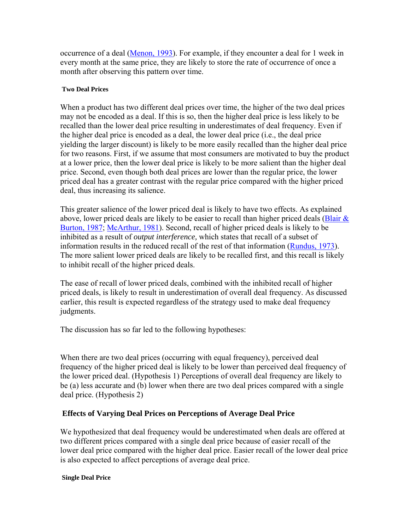occurrence of a deal (Menon, 1993). For example, if they encounter a deal for 1 week in every month at the same price, they are likely to store the rate of occurrence of once a month after observing this pattern over time.

#### **Two Deal Prices**

When a product has two different deal prices over time, the higher of the two deal prices may not be encoded as a deal. If this is so, then the higher deal price is less likely to be recalled than the lower deal price resulting in underestimates of deal frequency. Even if the higher deal price is encoded as a deal, the lower deal price (i.e., the deal price yielding the larger discount) is likely to be more easily recalled than the higher deal price for two reasons. First, if we assume that most consumers are motivated to buy the product at a lower price, then the lower deal price is likely to be more salient than the higher deal price. Second, even though both deal prices are lower than the regular price, the lower priced deal has a greater contrast with the regular price compared with the higher priced deal, thus increasing its salience.

This greater salience of the lower priced deal is likely to have two effects. As explained above, lower priced deals are likely to be easier to recall than higher priced deals (Blair  $\&$ Burton, 1987; McArthur, 1981). Second, recall of higher priced deals is likely to be inhibited as a result of *output interference,* which states that recall of a subset of information results in the reduced recall of the rest of that information (Rundus, 1973). The more salient lower priced deals are likely to be recalled first, and this recall is likely to inhibit recall of the higher priced deals.

The ease of recall of lower priced deals, combined with the inhibited recall of higher priced deals, is likely to result in underestimation of overall deal frequency. As discussed earlier, this result is expected regardless of the strategy used to make deal frequency judgments.

The discussion has so far led to the following hypotheses:

When there are two deal prices (occurring with equal frequency), perceived deal frequency of the higher priced deal is likely to be lower than perceived deal frequency of the lower priced deal. (Hypothesis 1) Perceptions of overall deal frequency are likely to be (a) less accurate and (b) lower when there are two deal prices compared with a single deal price. (Hypothesis 2)

## **Effects of Varying Deal Prices on Perceptions of Average Deal Price**

We hypothesized that deal frequency would be underestimated when deals are offered at two different prices compared with a single deal price because of easier recall of the lower deal price compared with the higher deal price. Easier recall of the lower deal price is also expected to affect perceptions of average deal price.

#### **Single Deal Price**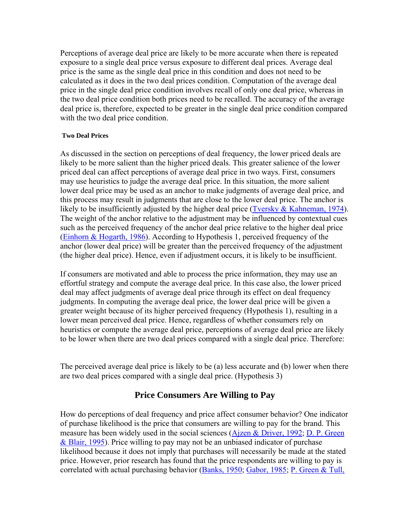Perceptions of average deal price are likely to be more accurate when there is repeated exposure to a single deal price versus exposure to different deal prices. Average deal price is the same as the single deal price in this condition and does not need to be calculated as it does in the two deal prices condition. Computation of the average deal price in the single deal price condition involves recall of only one deal price, whereas in the two deal price condition both prices need to be recalled. The accuracy of the average deal price is, therefore, expected to be greater in the single deal price condition compared with the two deal price condition.

#### **Two Deal Prices**

As discussed in the section on perceptions of deal frequency, the lower priced deals are likely to be more salient than the higher priced deals. This greater salience of the lower priced deal can affect perceptions of average deal price in two ways. First, consumers may use heuristics to judge the average deal price. In this situation, the more salient lower deal price may be used as an anchor to make judgments of average deal price, and this process may result in judgments that are close to the lower deal price. The anchor is likely to be insufficiently adjusted by the higher deal price (Tversky & Kahneman, 1974). The weight of the anchor relative to the adjustment may be influenced by contextual cues such as the perceived frequency of the anchor deal price relative to the higher deal price (Einhorn & Hogarth, 1986). According to Hypothesis 1, perceived frequency of the anchor (lower deal price) will be greater than the perceived frequency of the adjustment (the higher deal price). Hence, even if adjustment occurs, it is likely to be insufficient.

If consumers are motivated and able to process the price information, they may use an effortful strategy and compute the average deal price. In this case also, the lower priced deal may affect judgments of average deal price through its effect on deal frequency judgments. In computing the average deal price, the lower deal price will be given a greater weight because of its higher perceived frequency (Hypothesis 1), resulting in a lower mean perceived deal price. Hence, regardless of whether consumers rely on heuristics or compute the average deal price, perceptions of average deal price are likely to be lower when there are two deal prices compared with a single deal price. Therefore:

The perceived average deal price is likely to be (a) less accurate and (b) lower when there are two deal prices compared with a single deal price. (Hypothesis 3)

# **Price Consumers Are Willing to Pay**

How do perceptions of deal frequency and price affect consumer behavior? One indicator of purchase likelihood is the price that consumers are willing to pay for the brand. This measure has been widely used in the social sciences (Ajzen & Driver, 1992; D. P. Green & Blair, 1995). Price willing to pay may not be an unbiased indicator of purchase likelihood because it does not imply that purchases will necessarily be made at the stated price. However, prior research has found that the price respondents are willing to pay is correlated with actual purchasing behavior (Banks, 1950; Gabor, 1985; P. Green & Tull,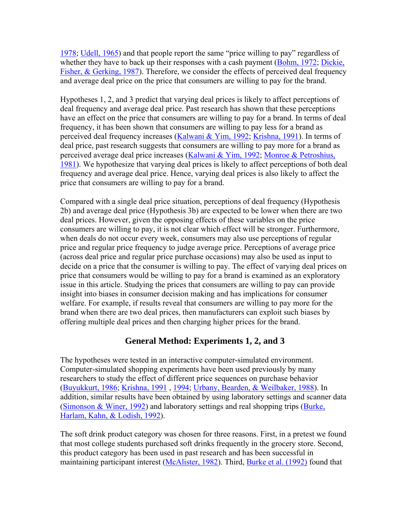1978; Udell, 1965) and that people report the same "price willing to pay" regardless of whether they have to back up their responses with a cash payment (Bohm, 1972; Dickie, Fisher, & Gerking, 1987). Therefore, we consider the effects of perceived deal frequency and average deal price on the price that consumers are willing to pay for the brand.

Hypotheses 1, 2, and 3 predict that varying deal prices is likely to affect perceptions of deal frequency and average deal price. Past research has shown that these perceptions have an effect on the price that consumers are willing to pay for a brand. In terms of deal frequency, it has been shown that consumers are willing to pay less for a brand as perceived deal frequency increases (Kalwani & Yim, 1992; Krishna, 1991). In terms of deal price, past research suggests that consumers are willing to pay more for a brand as perceived average deal price increases (Kalwani & Yim, 1992; Monroe & Petroshius, 1981). We hypothesize that varying deal prices is likely to affect perceptions of both deal frequency and average deal price. Hence, varying deal prices is also likely to affect the price that consumers are willing to pay for a brand.

Compared with a single deal price situation, perceptions of deal frequency (Hypothesis 2b) and average deal price (Hypothesis 3b) are expected to be lower when there are two deal prices. However, given the opposing effects of these variables on the price consumers are willing to pay, it is not clear which effect will be stronger. Furthermore, when deals do not occur every week, consumers may also use perceptions of regular price and regular price frequency to judge average price. Perceptions of average price (across deal price and regular price purchase occasions) may also be used as input to decide on a price that the consumer is willing to pay. The effect of varying deal prices on price that consumers would be willing to pay for a brand is examined as an exploratory issue in this article. Studying the prices that consumers are willing to pay can provide insight into biases in consumer decision making and has implications for consumer welfare. For example, if results reveal that consumers are willing to pay more for the brand when there are two deal prices, then manufacturers can exploit such biases by offering multiple deal prices and then charging higher prices for the brand.

# **General Method: Experiments 1, 2, and 3**

The hypotheses were tested in an interactive computer-simulated environment. Computer-simulated shopping experiments have been used previously by many researchers to study the effect of different price sequences on purchase behavior (Buyukkurt, 1986; Krishna, 1991 , 1994; Urbany, Bearden, & Weilbaker, 1988). In addition, similar results have been obtained by using laboratory settings and scanner data (Simonson & Winer, 1992) and laboratory settings and real shopping trips (Burke, Harlam, Kahn, & Lodish, 1992).

The soft drink product category was chosen for three reasons. First, in a pretest we found that most college students purchased soft drinks frequently in the grocery store. Second, this product category has been used in past research and has been successful in maintaining participant interest (McAlister, 1982). Third, Burke et al. (1992) found that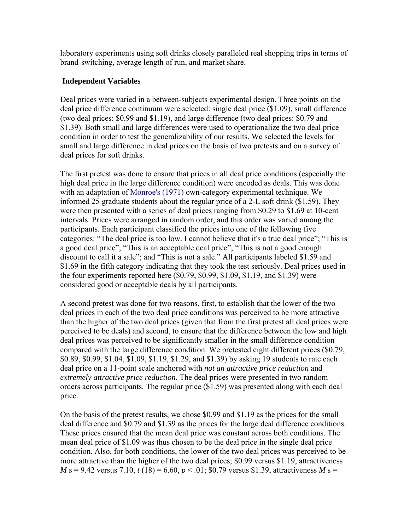laboratory experiments using soft drinks closely paralleled real shopping trips in terms of brand-switching, average length of run, and market share.

### **Independent Variables**

Deal prices were varied in a between-subjects experimental design. Three points on the deal price difference continuum were selected: single deal price (\$1.09), small difference (two deal prices: \$0.99 and \$1.19), and large difference (two deal prices: \$0.79 and \$1.39). Both small and large differences were used to operationalize the two deal price condition in order to test the generalizability of our results. We selected the levels for small and large difference in deal prices on the basis of two pretests and on a survey of deal prices for soft drinks.

The first pretest was done to ensure that prices in all deal price conditions (especially the high deal price in the large difference condition) were encoded as deals. This was done with an adaptation of Monroe's (1971) own-category experimental technique. We informed 25 graduate students about the regular price of a 2-L soft drink (\$1.59). They were then presented with a series of deal prices ranging from \$0.29 to \$1.69 at 10-cent intervals. Prices were arranged in random order, and this order was varied among the participants. Each participant classified the prices into one of the following five categories: "The deal price is too low. I cannot believe that it's a true deal price"; "This is a good deal price"; "This is an acceptable deal price"; "This is not a good enough discount to call it a sale"; and "This is not a sale." All participants labeled \$1.59 and \$1.69 in the fifth category indicating that they took the test seriously. Deal prices used in the four experiments reported here (\$0.79, \$0.99, \$1.09, \$1.19, and \$1.39) were considered good or acceptable deals by all participants.

A second pretest was done for two reasons, first, to establish that the lower of the two deal prices in each of the two deal price conditions was perceived to be more attractive than the higher of the two deal prices (given that from the first pretest all deal prices were perceived to be deals) and second, to ensure that the difference between the low and high deal prices was perceived to be significantly smaller in the small difference condition compared with the large difference condition. We pretested eight different prices (\$0.79, \$0.89, \$0.99, \$1.04, \$1.09, \$1.19, \$1.29, and \$1.39) by asking 19 students to rate each deal price on a 11-point scale anchored with *not an attractive price reduction* and *extremely attractive price reduction.* The deal prices were presented in two random orders across participants. The regular price (\$1.59) was presented along with each deal price.

On the basis of the pretest results, we chose \$0.99 and \$1.19 as the prices for the small deal difference and \$0.79 and \$1.39 as the prices for the large deal difference conditions. These prices ensured that the mean deal price was constant across both conditions. The mean deal price of \$1.09 was thus chosen to be the deal price in the single deal price condition. Also, for both conditions, the lower of the two deal prices was perceived to be more attractive than the higher of the two deal prices; \$0.99 versus \$1.19, attractiveness *M* s = 9.42 versus 7.10, *t* (18) = 6.60,  $p < .01$ ; \$0.79 versus \$1.39, attractiveness *M* s =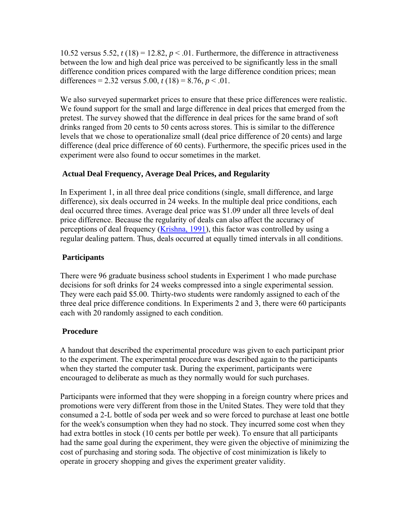10.52 versus 5.52,  $t(18) = 12.82$ ,  $p < 0.01$ . Furthermore, the difference in attractiveness between the low and high deal price was perceived to be significantly less in the small difference condition prices compared with the large difference condition prices; mean differences = 2.32 versus 5.00,  $t(18) = 8.76$ ,  $p < .01$ .

We also surveyed supermarket prices to ensure that these price differences were realistic. We found support for the small and large difference in deal prices that emerged from the pretest. The survey showed that the difference in deal prices for the same brand of soft drinks ranged from 20 cents to 50 cents across stores. This is similar to the difference levels that we chose to operationalize small (deal price difference of 20 cents) and large difference (deal price difference of 60 cents). Furthermore, the specific prices used in the experiment were also found to occur sometimes in the market.

## **Actual Deal Frequency, Average Deal Prices, and Regularity**

In Experiment 1, in all three deal price conditions (single, small difference, and large difference), six deals occurred in 24 weeks. In the multiple deal price conditions, each deal occurred three times. Average deal price was \$1.09 under all three levels of deal price difference. Because the regularity of deals can also affect the accuracy of perceptions of deal frequency (Krishna, 1991), this factor was controlled by using a regular dealing pattern. Thus, deals occurred at equally timed intervals in all conditions.

## **Participants**

There were 96 graduate business school students in Experiment 1 who made purchase decisions for soft drinks for 24 weeks compressed into a single experimental session. They were each paid \$5.00. Thirty-two students were randomly assigned to each of the three deal price difference conditions. In Experiments 2 and 3, there were 60 participants each with 20 randomly assigned to each condition.

## **Procedure**

A handout that described the experimental procedure was given to each participant prior to the experiment. The experimental procedure was described again to the participants when they started the computer task. During the experiment, participants were encouraged to deliberate as much as they normally would for such purchases.

Participants were informed that they were shopping in a foreign country where prices and promotions were very different from those in the United States. They were told that they consumed a 2-L bottle of soda per week and so were forced to purchase at least one bottle for the week's consumption when they had no stock. They incurred some cost when they had extra bottles in stock (10 cents per bottle per week). To ensure that all participants had the same goal during the experiment, they were given the objective of minimizing the cost of purchasing and storing soda. The objective of cost minimization is likely to operate in grocery shopping and gives the experiment greater validity.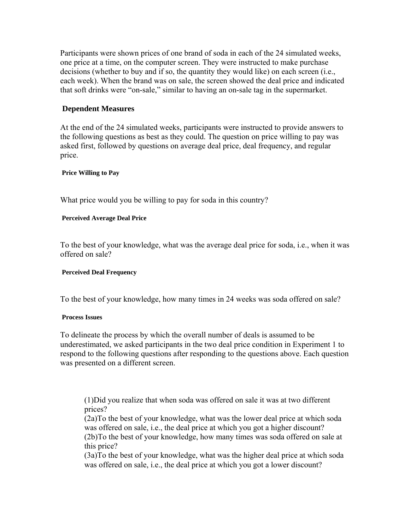Participants were shown prices of one brand of soda in each of the 24 simulated weeks, one price at a time, on the computer screen. They were instructed to make purchase decisions (whether to buy and if so, the quantity they would like) on each screen (i.e., each week). When the brand was on sale, the screen showed the deal price and indicated that soft drinks were "on-sale," similar to having an on-sale tag in the supermarket.

### **Dependent Measures**

At the end of the 24 simulated weeks, participants were instructed to provide answers to the following questions as best as they could. The question on price willing to pay was asked first, followed by questions on average deal price, deal frequency, and regular price.

#### **Price Willing to Pay**

What price would you be willing to pay for soda in this country?

#### **Perceived Average Deal Price**

To the best of your knowledge, what was the average deal price for soda, i.e., when it was offered on sale?

### **Perceived Deal Frequency**

To the best of your knowledge, how many times in 24 weeks was soda offered on sale?

#### **Process Issues**

To delineate the process by which the overall number of deals is assumed to be underestimated, we asked participants in the two deal price condition in Experiment 1 to respond to the following questions after responding to the questions above. Each question was presented on a different screen.

(1)Did you realize that when soda was offered on sale it was at two different prices?

(2a)To the best of your knowledge, what was the lower deal price at which soda was offered on sale, i.e., the deal price at which you got a higher discount? (2b)To the best of your knowledge, how many times was soda offered on sale at this price?

(3a)To the best of your knowledge, what was the higher deal price at which soda was offered on sale, i.e., the deal price at which you got a lower discount?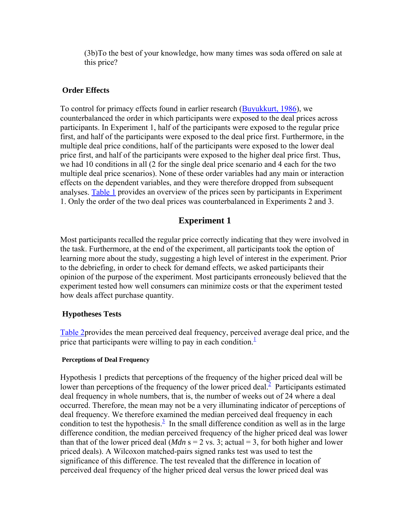(3b)To the best of your knowledge, how many times was soda offered on sale at this price?

### **Order Effects**

To control for primacy effects found in earlier research (Buyukkurt, 1986), we counterbalanced the order in which participants were exposed to the deal prices across participants. In Experiment 1, half of the participants were exposed to the regular price first, and half of the participants were exposed to the deal price first. Furthermore, in the multiple deal price conditions, half of the participants were exposed to the lower deal price first, and half of the participants were exposed to the higher deal price first. Thus, we had 10 conditions in all (2 for the single deal price scenario and 4 each for the two multiple deal price scenarios). None of these order variables had any main or interaction effects on the dependent variables, and they were therefore dropped from subsequent analyses. Table 1 provides an overview of the prices seen by participants in Experiment 1. Only the order of the two deal prices was counterbalanced in Experiments 2 and 3.

# **Experiment 1**

Most participants recalled the regular price correctly indicating that they were involved in the task. Furthermore, at the end of the experiment, all participants took the option of learning more about the study, suggesting a high level of interest in the experiment. Prior to the debriefing, in order to check for demand effects, we asked participants their opinion of the purpose of the experiment. Most participants erroneously believed that the experiment tested how well consumers can minimize costs or that the experiment tested how deals affect purchase quantity.

### **Hypotheses Tests**

Table 2provides the mean perceived deal frequency, perceived average deal price, and the price that participants were willing to pay in each condition. $<sup>1</sup>$ </sup>

### **Perceptions of Deal Frequency**

Hypothesis 1 predicts that perceptions of the frequency of the higher priced deal will be lower than perceptions of the frequency of the lower priced deal.<sup> $2$ </sup> Participants estimated deal frequency in whole numbers, that is, the number of weeks out of 24 where a deal occurred. Therefore, the mean may not be a very illuminating indicator of perceptions of deal frequency. We therefore examined the median perceived deal frequency in each condition to test the hypothesis. $<sup>3</sup>$  In the small difference condition as well as in the large</sup> difference condition, the median perceived frequency of the higher priced deal was lower than that of the lower priced deal  $(Mdn s = 2 \text{ vs. } 3$ ; actual = 3, for both higher and lower priced deals). A Wilcoxon matched-pairs signed ranks test was used to test the significance of this difference. The test revealed that the difference in location of perceived deal frequency of the higher priced deal versus the lower priced deal was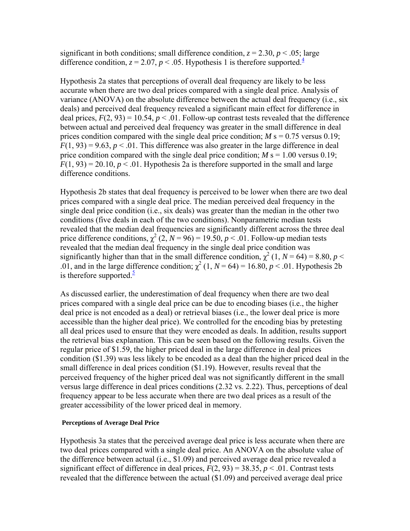significant in both conditions; small difference condition,  $z = 2.30$ ,  $p < .05$ ; large difference condition,  $z = 2.07$ ,  $p < .05$ . Hypothesis 1 is therefore supported.<sup>4</sup>

Hypothesis 2a states that perceptions of overall deal frequency are likely to be less accurate when there are two deal prices compared with a single deal price. Analysis of variance (ANOVA) on the absolute difference between the actual deal frequency (i.e., six deals) and perceived deal frequency revealed a significant main effect for difference in deal prices,  $F(2, 93) = 10.54$ ,  $p < .01$ . Follow-up contrast tests revealed that the difference between actual and perceived deal frequency was greater in the small difference in deal prices condition compared with the single deal price condition;  $M = 0.75$  versus 0.19;  $F(1, 93) = 9.63$ ,  $p < 0.01$ . This difference was also greater in the large difference in deal price condition compared with the single deal price condition;  $M = 1.00$  versus 0.19;  $F(1, 93) = 20.10$ ,  $p < .01$ . Hypothesis 2a is therefore supported in the small and large difference conditions.

Hypothesis 2b states that deal frequency is perceived to be lower when there are two deal prices compared with a single deal price. The median perceived deal frequency in the single deal price condition (i.e., six deals) was greater than the median in the other two conditions (five deals in each of the two conditions). Nonparametric median tests revealed that the median deal frequencies are significantly different across the three deal price difference conditions,  $\chi^2$  (2, *N* = 96) = 19.50, *p* < .01. Follow-up median tests revealed that the median deal frequency in the single deal price condition was significantly higher than that in the small difference condition,  $\chi^2$  (1, *N* = 64) = 8.80, *p* < .01, and in the large difference condition;  $\chi^2$  (1, *N* = 64) = 16.80, *p* < .01. Hypothesis 2b is therefore supported. $\frac{5}{5}$ 

As discussed earlier, the underestimation of deal frequency when there are two deal prices compared with a single deal price can be due to encoding biases (i.e., the higher deal price is not encoded as a deal) or retrieval biases (i.e., the lower deal price is more accessible than the higher deal price). We controlled for the encoding bias by pretesting all deal prices used to ensure that they were encoded as deals. In addition, results support the retrieval bias explanation. This can be seen based on the following results. Given the regular price of \$1.59, the higher priced deal in the large difference in deal prices condition (\$1.39) was less likely to be encoded as a deal than the higher priced deal in the small difference in deal prices condition (\$1.19). However, results reveal that the perceived frequency of the higher priced deal was not significantly different in the small versus large difference in deal prices conditions (2.32 vs. 2.22). Thus, perceptions of deal frequency appear to be less accurate when there are two deal prices as a result of the greater accessibility of the lower priced deal in memory.

#### **Perceptions of Average Deal Price**

Hypothesis 3a states that the perceived average deal price is less accurate when there are two deal prices compared with a single deal price. An ANOVA on the absolute value of the difference between actual (i.e., \$1.09) and perceived average deal price revealed a significant effect of difference in deal prices,  $F(2, 93) = 38.35$ ,  $p < .01$ . Contrast tests revealed that the difference between the actual (\$1.09) and perceived average deal price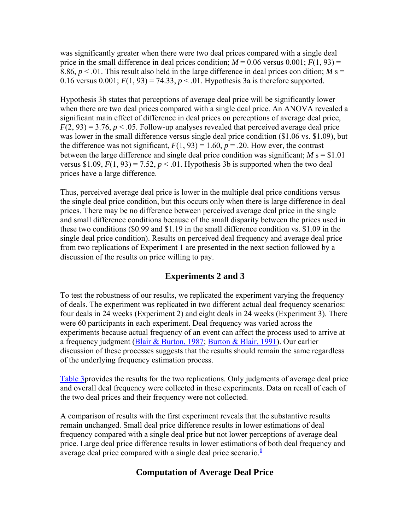was significantly greater when there were two deal prices compared with a single deal price in the small difference in deal prices condition;  $M = 0.06$  versus 0.001;  $F(1, 93) =$ 8.86,  $p < 0.01$ . This result also held in the large difference in deal prices con dition; *M* s = 0.16 versus 0.001;  $F(1, 93) = 74.33$ ,  $p < .01$ . Hypothesis 3a is therefore supported.

Hypothesis 3b states that perceptions of average deal price will be significantly lower when there are two deal prices compared with a single deal price. An ANOVA revealed a significant main effect of difference in deal prices on perceptions of average deal price,  $F(2, 93) = 3.76$ ,  $p < .05$ . Follow-up analyses revealed that perceived average deal price was lower in the small difference versus single deal price condition (\$1.06 vs. \$1.09), but the difference was not significant,  $F(1, 93) = 1.60$ ,  $p = .20$ . How ever, the contrast between the large difference and single deal price condition was significant;  $M = $1.01$ versus \$1.09,  $F(1, 93) = 7.52$ ,  $p < .01$ . Hypothesis 3b is supported when the two deal prices have a large difference.

Thus, perceived average deal price is lower in the multiple deal price conditions versus the single deal price condition, but this occurs only when there is large difference in deal prices. There may be no difference between perceived average deal price in the single and small difference conditions because of the small disparity between the prices used in these two conditions (\$0.99 and \$1.19 in the small difference condition vs. \$1.09 in the single deal price condition). Results on perceived deal frequency and average deal price from two replications of Experiment 1 are presented in the next section followed by a discussion of the results on price willing to pay.

# **Experiments 2 and 3**

To test the robustness of our results, we replicated the experiment varying the frequency of deals. The experiment was replicated in two different actual deal frequency scenarios: four deals in 24 weeks (Experiment 2) and eight deals in 24 weeks (Experiment 3). There were 60 participants in each experiment. Deal frequency was varied across the experiments because actual frequency of an event can affect the process used to arrive at a frequency judgment (Blair & Burton, 1987; Burton & Blair, 1991). Our earlier discussion of these processes suggests that the results should remain the same regardless of the underlying frequency estimation process.

Table 3provides the results for the two replications. Only judgments of average deal price and overall deal frequency were collected in these experiments. Data on recall of each of the two deal prices and their frequency were not collected.

A comparison of results with the first experiment reveals that the substantive results remain unchanged. Small deal price difference results in lower estimations of deal frequency compared with a single deal price but not lower perceptions of average deal price. Large deal price difference results in lower estimations of both deal frequency and average deal price compared with a single deal price scenario.<sup>6</sup>

# **Computation of Average Deal Price**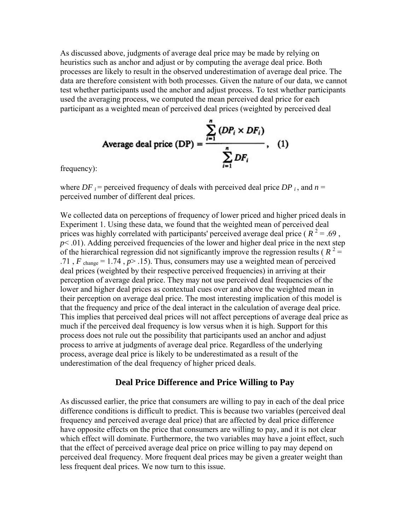As discussed above, judgments of average deal price may be made by relying on heuristics such as anchor and adjust or by computing the average deal price. Both processes are likely to result in the observed underestimation of average deal price. The data are therefore consistent with both processes. Given the nature of our data, we cannot test whether participants used the anchor and adjust process. To test whether participants used the averaging process, we computed the mean perceived deal price for each participant as a weighted mean of perceived deal prices (weighted by perceived deal

Average deal price (DP) = 
$$
\frac{\sum_{i=1}^{n} (DP_i \times DF_i)}{\sum_{i=1}^{n} DF_i},
$$
 (1)

frequency):

where *DF*  $_i$  = perceived frequency of deals with perceived deal price *DP*  $_i$ , and  $n =$ perceived number of different deal prices.

We collected data on perceptions of frequency of lower priced and higher priced deals in Experiment 1. Using these data, we found that the weighted mean of perceived deal prices was highly correlated with participants' perceived average deal price ( $R^2$  = .69,  $p<$  01). Adding perceived frequencies of the lower and higher deal price in the next step of the hierarchical regression did not significantly improve the regression results ( $R^2 =$ .71,  $F_{\text{change}} = 1.74$ ,  $p > .15$ ). Thus, consumers may use a weighted mean of perceived deal prices (weighted by their respective perceived frequencies) in arriving at their perception of average deal price. They may not use perceived deal frequencies of the lower and higher deal prices as contextual cues over and above the weighted mean in their perception on average deal price. The most interesting implication of this model is that the frequency and price of the deal interact in the calculation of average deal price. This implies that perceived deal prices will not affect perceptions of average deal price as much if the perceived deal frequency is low versus when it is high. Support for this process does not rule out the possibility that participants used an anchor and adjust process to arrive at judgments of average deal price. Regardless of the underlying process, average deal price is likely to be underestimated as a result of the underestimation of the deal frequency of higher priced deals.

## **Deal Price Difference and Price Willing to Pay**

As discussed earlier, the price that consumers are willing to pay in each of the deal price difference conditions is difficult to predict. This is because two variables (perceived deal frequency and perceived average deal price) that are affected by deal price difference have opposite effects on the price that consumers are willing to pay, and it is not clear which effect will dominate. Furthermore, the two variables may have a joint effect, such that the effect of perceived average deal price on price willing to pay may depend on perceived deal frequency. More frequent deal prices may be given a greater weight than less frequent deal prices. We now turn to this issue.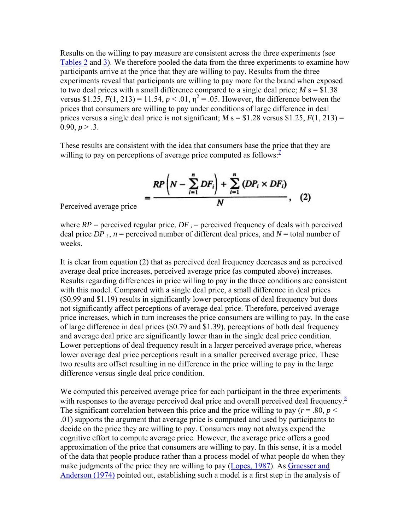Results on the willing to pay measure are consistent across the three experiments (see Tables 2 and 3). We therefore pooled the data from the three experiments to examine how participants arrive at the price that they are willing to pay. Results from the three experiments reveal that participants are willing to pay more for the brand when exposed to two deal prices with a small difference compared to a single deal price;  $M = $1.38$ versus \$1.25,  $F(1, 213) = 11.54$ ,  $p < .01$ ,  $\eta^2 = .05$ . However, the difference between the prices that consumers are willing to pay under conditions of large difference in deal prices versus a single deal price is not significant;  $M$  s = \$1.28 versus \$1.25,  $F(1, 213)$  = 0.90,  $p > 0.3$ .

These results are consistent with the idea that consumers base the price that they are willing to pay on perceptions of average price computed as follows: $\frac{7}{2}$ 

$$
=\frac{RP\left(N-\sum_{i=1}^n DF_i\right)+\sum_{i=1}^n (DP_i\times DF_i)}{N}, \quad (2)
$$

Perceived average price

where  $RP$  = perceived regular price,  $DF_i$  = perceived frequency of deals with perceived deal price *DP*  $_i$ ,  $n$  = perceived number of different deal prices, and  $N$  = total number of weeks.

It is clear from equation (2) that as perceived deal frequency decreases and as perceived average deal price increases, perceived average price (as computed above) increases. Results regarding differences in price willing to pay in the three conditions are consistent with this model. Compared with a single deal price, a small difference in deal prices (\$0.99 and \$1.19) results in significantly lower perceptions of deal frequency but does not significantly affect perceptions of average deal price. Therefore, perceived average price increases, which in turn increases the price consumers are willing to pay. In the case of large difference in deal prices (\$0.79 and \$1.39), perceptions of both deal frequency and average deal price are significantly lower than in the single deal price condition. Lower perceptions of deal frequency result in a larger perceived average price, whereas lower average deal price perceptions result in a smaller perceived average price. These two results are offset resulting in no difference in the price willing to pay in the large difference versus single deal price condition.

We computed this perceived average price for each participant in the three experiments with responses to the average perceived deal price and overall perceived deal frequency. $8$ The significant correlation between this price and the price willing to pay ( $r = .80$ ,  $p <$ .01) supports the argument that average price is computed and used by participants to decide on the price they are willing to pay. Consumers may not always expend the cognitive effort to compute average price. However, the average price offers a good approximation of the price that consumers are willing to pay. In this sense, it is a model of the data that people produce rather than a process model of what people do when they make judgments of the price they are willing to pay (Lopes, 1987). As Graesser and Anderson (1974) pointed out, establishing such a model is a first step in the analysis of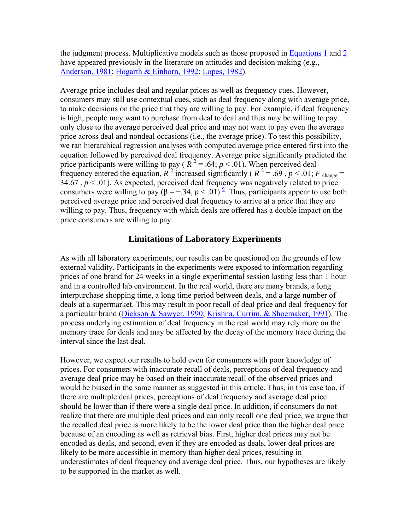the judgment process. Multiplicative models such as those proposed in Equations 1 and 2 have appeared previously in the literature on attitudes and decision making (e.g., Anderson, 1981; Hogarth & Einhorn, 1992; Lopes, 1982).

Average price includes deal and regular prices as well as frequency cues. However, consumers may still use contextual cues, such as deal frequency along with average price, to make decisions on the price that they are willing to pay. For example, if deal frequency is high, people may want to purchase from deal to deal and thus may be willing to pay only close to the average perceived deal price and may not want to pay even the average price across deal and nondeal occasions (i.e., the average price). To test this possibility, we ran hierarchical regression analyses with computed average price entered first into the equation followed by perceived deal frequency. Average price significantly predicted the price participants were willing to pay ( $R^2 = .64$ ;  $p < .01$ ). When perceived deal frequency entered the equation,  $R^2$  increased significantly ( $R^2 = .69$ ,  $p < .01$ ;  $F_{\text{change}} =$  $34.67$ ,  $p < .01$ ). As expected, perceived deal frequency was negatively related to price consumers were willing to pay  $(\beta = -0.34, p < 0.01)^9$ . Thus, participants appear to use both perceived average price and perceived deal frequency to arrive at a price that they are willing to pay. Thus, frequency with which deals are offered has a double impact on the price consumers are willing to pay.

## **Limitations of Laboratory Experiments**

As with all laboratory experiments, our results can be questioned on the grounds of low external validity. Participants in the experiments were exposed to information regarding prices of one brand for 24 weeks in a single experimental session lasting less than 1 hour and in a controlled lab environment. In the real world, there are many brands, a long interpurchase shopping time, a long time period between deals, and a large number of deals at a supermarket. This may result in poor recall of deal price and deal frequency for a particular brand (Dickson & Sawyer, 1990; Krishna, Currim, & Shoemaker, 1991). The process underlying estimation of deal frequency in the real world may rely more on the memory trace for deals and may be affected by the decay of the memory trace during the interval since the last deal.

However, we expect our results to hold even for consumers with poor knowledge of prices. For consumers with inaccurate recall of deals, perceptions of deal frequency and average deal price may be based on their inaccurate recall of the observed prices and would be biased in the same manner as suggested in this article. Thus, in this case too, if there are multiple deal prices, perceptions of deal frequency and average deal price should be lower than if there were a single deal price. In addition, if consumers do not realize that there are multiple deal prices and can only recall one deal price, we argue that the recalled deal price is more likely to be the lower deal price than the higher deal price because of an encoding as well as retrieval bias. First, higher deal prices may not be encoded as deals, and second, even if they are encoded as deals, lower deal prices are likely to be more accessible in memory than higher deal prices, resulting in underestimates of deal frequency and average deal price. Thus, our hypotheses are likely to be supported in the market as well.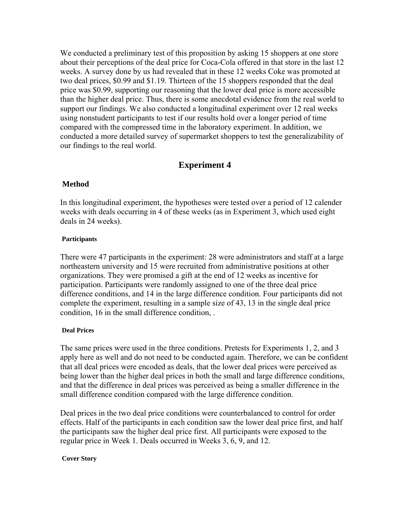We conducted a preliminary test of this proposition by asking 15 shoppers at one store about their perceptions of the deal price for Coca-Cola offered in that store in the last 12 weeks. A survey done by us had revealed that in these 12 weeks Coke was promoted at two deal prices, \$0.99 and \$1.19. Thirteen of the 15 shoppers responded that the deal price was \$0.99, supporting our reasoning that the lower deal price is more accessible than the higher deal price. Thus, there is some anecdotal evidence from the real world to support our findings. We also conducted a longitudinal experiment over 12 real weeks using nonstudent participants to test if our results hold over a longer period of time compared with the compressed time in the laboratory experiment. In addition, we conducted a more detailed survey of supermarket shoppers to test the generalizability of our findings to the real world.

# **Experiment 4**

### **Method**

In this longitudinal experiment, the hypotheses were tested over a period of 12 calender weeks with deals occurring in 4 of these weeks (as in Experiment 3, which used eight deals in 24 weeks).

#### **Participants**

There were 47 participants in the experiment: 28 were administrators and staff at a large northeastern university and 15 were recruited from administrative positions at other organizations. They were promised a gift at the end of 12 weeks as incentive for participation. Participants were randomly assigned to one of the three deal price difference conditions, and 14 in the large difference condition. Four participants did not complete the experiment, resulting in a sample size of 43, 13 in the single deal price condition, 16 in the small difference condition, .

### **Deal Prices**

The same prices were used in the three conditions. Pretests for Experiments 1, 2, and 3 apply here as well and do not need to be conducted again. Therefore, we can be confident that all deal prices were encoded as deals, that the lower deal prices were perceived as being lower than the higher deal prices in both the small and large difference conditions, and that the difference in deal prices was perceived as being a smaller difference in the small difference condition compared with the large difference condition.

Deal prices in the two deal price conditions were counterbalanced to control for order effects. Half of the participants in each condition saw the lower deal price first, and half the participants saw the higher deal price first. All participants were exposed to the regular price in Week 1. Deals occurred in Weeks 3, 6, 9, and 12.

#### **Cover Story**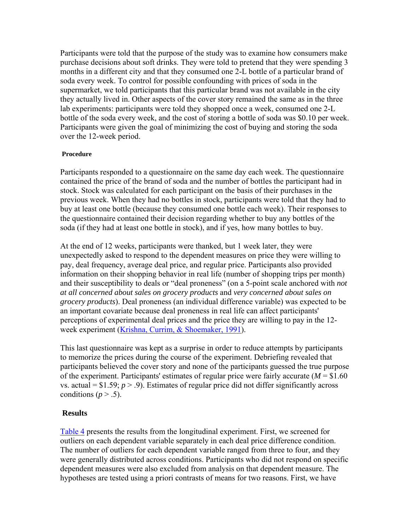Participants were told that the purpose of the study was to examine how consumers make purchase decisions about soft drinks. They were told to pretend that they were spending 3 months in a different city and that they consumed one 2-L bottle of a particular brand of soda every week. To control for possible confounding with prices of soda in the supermarket, we told participants that this particular brand was not available in the city they actually lived in. Other aspects of the cover story remained the same as in the three lab experiments: participants were told they shopped once a week, consumed one 2-L bottle of the soda every week, and the cost of storing a bottle of soda was \$0.10 per week. Participants were given the goal of minimizing the cost of buying and storing the soda over the 12-week period.

#### **Procedure**

Participants responded to a questionnaire on the same day each week. The questionnaire contained the price of the brand of soda and the number of bottles the participant had in stock. Stock was calculated for each participant on the basis of their purchases in the previous week. When they had no bottles in stock, participants were told that they had to buy at least one bottle (because they consumed one bottle each week). Their responses to the questionnaire contained their decision regarding whether to buy any bottles of the soda (if they had at least one bottle in stock), and if yes, how many bottles to buy.

At the end of 12 weeks, participants were thanked, but 1 week later, they were unexpectedly asked to respond to the dependent measures on price they were willing to pay, deal frequency, average deal price, and regular price. Participants also provided information on their shopping behavior in real life (number of shopping trips per month) and their susceptibility to deals or "deal proneness" (on a 5-point scale anchored with *not at all concerned about sales on grocery products* and *very concerned about sales on grocery products*). Deal proneness (an individual difference variable) was expected to be an important covariate because deal proneness in real life can affect participants' perceptions of experimental deal prices and the price they are willing to pay in the 12 week experiment (Krishna, Currim, & Shoemaker, 1991).

This last questionnaire was kept as a surprise in order to reduce attempts by participants to memorize the prices during the course of the experiment. Debriefing revealed that participants believed the cover story and none of the participants guessed the true purpose of the experiment. Participants' estimates of regular price were fairly accurate  $(M = $1.60$ vs. actual =  $$1.59$ ;  $p > .9$ ). Estimates of regular price did not differ significantly across conditions ( $p > .5$ ).

## **Results**

Table 4 presents the results from the longitudinal experiment. First, we screened for outliers on each dependent variable separately in each deal price difference condition. The number of outliers for each dependent variable ranged from three to four, and they were generally distributed across conditions. Participants who did not respond on specific dependent measures were also excluded from analysis on that dependent measure. The hypotheses are tested using a priori contrasts of means for two reasons. First, we have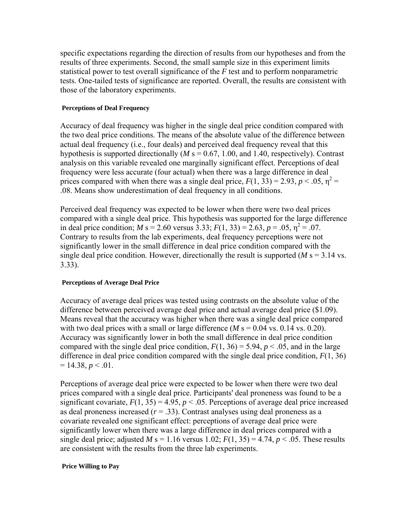specific expectations regarding the direction of results from our hypotheses and from the results of three experiments. Second, the small sample size in this experiment limits statistical power to test overall significance of the *F* test and to perform nonparametric tests. One-tailed tests of significance are reported. Overall, the results are consistent with those of the laboratory experiments.

#### **Perceptions of Deal Frequency**

Accuracy of deal frequency was higher in the single deal price condition compared with the two deal price conditions. The means of the absolute value of the difference between actual deal frequency (i.e., four deals) and perceived deal frequency reveal that this hypothesis is supported directionally  $(M s = 0.67, 1.00,$  and 1.40, respectively). Contrast analysis on this variable revealed one marginally significant effect. Perceptions of deal frequency were less accurate (four actual) when there was a large difference in deal prices compared with when there was a single deal price,  $F(1, 33) = 2.93$ ,  $p < .05$ ,  $\eta^2 =$ .08. Means show underestimation of deal frequency in all conditions.

Perceived deal frequency was expected to be lower when there were two deal prices compared with a single deal price. This hypothesis was supported for the large difference in deal price condition;  $M s = 2.60$  versus  $3.33$ ;  $F(1, 33) = 2.63$ ,  $p = .05$ ,  $\eta^2 = .07$ . Contrary to results from the lab experiments, deal frequency perceptions were not significantly lower in the small difference in deal price condition compared with the single deal price condition. However, directionally the result is supported ( $M$  s = 3.14 vs.) 3.33).

### **Perceptions of Average Deal Price**

Accuracy of average deal prices was tested using contrasts on the absolute value of the difference between perceived average deal price and actual average deal price (\$1.09). Means reveal that the accuracy was higher when there was a single deal price compared with two deal prices with a small or large difference  $(M s = 0.04 \text{ vs. } 0.14 \text{ vs. } 0.20)$ . Accuracy was significantly lower in both the small difference in deal price condition compared with the single deal price condition,  $F(1, 36) = 5.94$ ,  $p < .05$ , and in the large difference in deal price condition compared with the single deal price condition,  $F(1, 36)$  $= 14.38, p < .01.$ 

Perceptions of average deal price were expected to be lower when there were two deal prices compared with a single deal price. Participants' deal proneness was found to be a significant covariate,  $F(1, 35) = 4.95$ ,  $p < .05$ . Perceptions of average deal price increased as deal proneness increased  $(r = .33)$ . Contrast analyses using deal proneness as a covariate revealed one significant effect: perceptions of average deal price were significantly lower when there was a large difference in deal prices compared with a single deal price; adjusted  $M$  s = 1.16 versus 1.02;  $F(1, 35) = 4.74$ ,  $p < .05$ . These results are consistent with the results from the three lab experiments.

#### **Price Willing to Pay**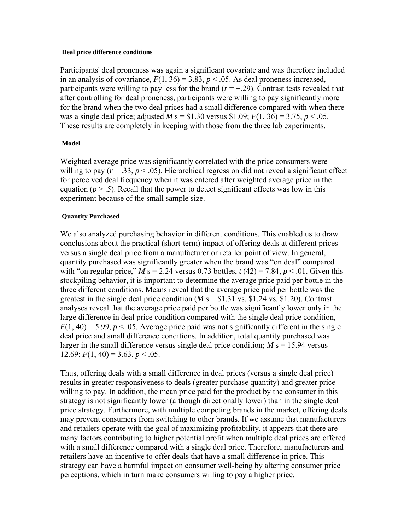#### **Deal price difference conditions**

Participants' deal proneness was again a significant covariate and was therefore included in an analysis of covariance,  $F(1, 36) = 3.83$ ,  $p < .05$ . As deal proneness increased, participants were willing to pay less for the brand (*r* = −.29). Contrast tests revealed that after controlling for deal proneness, participants were willing to pay significantly more for the brand when the two deal prices had a small difference compared with when there was a single deal price; adjusted *M* s = \$1.30 versus \$1.09;  $F(1, 36) = 3.75$ ,  $p < .05$ . These results are completely in keeping with those from the three lab experiments.

#### **Model**

Weighted average price was significantly correlated with the price consumers were willing to pay ( $r = 0.33$ ,  $p < 0.05$ ). Hierarchical regression did not reveal a significant effect for perceived deal frequency when it was entered after weighted average price in the equation  $(p > .5)$ . Recall that the power to detect significant effects was low in this experiment because of the small sample size.

#### **Quantity Purchased**

We also analyzed purchasing behavior in different conditions. This enabled us to draw conclusions about the practical (short-term) impact of offering deals at different prices versus a single deal price from a manufacturer or retailer point of view. In general, quantity purchased was significantly greater when the brand was "on deal" compared with "on regular price,"  $M$  s = 2.24 versus 0.73 bottles,  $t$  (42) = 7.84,  $p < .01$ . Given this stockpiling behavior, it is important to determine the average price paid per bottle in the three different conditions. Means reveal that the average price paid per bottle was the greatest in the single deal price condition  $(M s = $1.31 \text{ vs. } $1.24 \text{ vs. } $1.20)$ . Contrast analyses reveal that the average price paid per bottle was significantly lower only in the large difference in deal price condition compared with the single deal price condition,  $F(1, 40) = 5.99$ ,  $p < .05$ . Average price paid was not significantly different in the single deal price and small difference conditions. In addition, total quantity purchased was larger in the small difference versus single deal price condition;  $M = 15.94$  versus 12.69;  $F(1, 40) = 3.63$ ,  $p < .05$ .

Thus, offering deals with a small difference in deal prices (versus a single deal price) results in greater responsiveness to deals (greater purchase quantity) and greater price willing to pay. In addition, the mean price paid for the product by the consumer in this strategy is not significantly lower (although directionally lower) than in the single deal price strategy. Furthermore, with multiple competing brands in the market, offering deals may prevent consumers from switching to other brands. If we assume that manufacturers and retailers operate with the goal of maximizing profitability, it appears that there are many factors contributing to higher potential profit when multiple deal prices are offered with a small difference compared with a single deal price. Therefore, manufacturers and retailers have an incentive to offer deals that have a small difference in price. This strategy can have a harmful impact on consumer well-being by altering consumer price perceptions, which in turn make consumers willing to pay a higher price.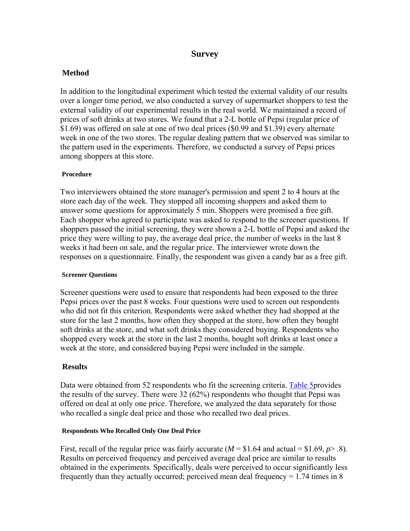## **Survey**

### **Method**

In addition to the longitudinal experiment which tested the external validity of our results over a longer time period, we also conducted a survey of supermarket shoppers to test the external validity of our experimental results in the real world. We maintained a record of prices of soft drinks at two stores. We found that a 2-L bottle of Pepsi (regular price of \$1.69) was offered on sale at one of two deal prices (\$0.99 and \$1.39) every alternate week in one of the two stores. The regular dealing pattern that we observed was similar to the pattern used in the experiments. Therefore, we conducted a survey of Pepsi prices among shoppers at this store.

#### **Procedure**

Two interviewers obtained the store manager's permission and spent 2 to 4 hours at the store each day of the week. They stopped all incoming shoppers and asked them to answer some questions for approximately 5 min. Shoppers were promised a free gift. Each shopper who agreed to participate was asked to respond to the screener questions. If shoppers passed the initial screening, they were shown a 2-L bottle of Pepsi and asked the price they were willing to pay, the average deal price, the number of weeks in the last 8 weeks it had been on sale, and the regular price. The interviewer wrote down the responses on a questionnaire. Finally, the respondent was given a candy bar as a free gift.

### **Screener Questions**

Screener questions were used to ensure that respondents had been exposed to the three Pepsi prices over the past 8 weeks. Four questions were used to screen out respondents who did not fit this criterion. Respondents were asked whether they had shopped at the store for the last 2 months, how often they shopped at the store, how often they bought soft drinks at the store, and what soft drinks they considered buying. Respondents who shopped every week at the store in the last 2 months, bought soft drinks at least once a week at the store, and considered buying Pepsi were included in the sample.

### **Results**

Data were obtained from 52 respondents who fit the screening criteria. Table 5provides the results of the survey. There were 32 (62%) respondents who thought that Pepsi was offered on deal at only one price. Therefore, we analyzed the data separately for those who recalled a single deal price and those who recalled two deal prices.

### **Respondents Who Recalled Only One Deal Price**

First, recall of the regular price was fairly accurate  $(M = $1.64$  and actual  $= $1.69, p > .8$ ). Results on perceived frequency and perceived average deal price are similar to results obtained in the experiments. Specifically, deals were perceived to occur significantly less frequently than they actually occurred; perceived mean deal frequency  $= 1.74$  times in 8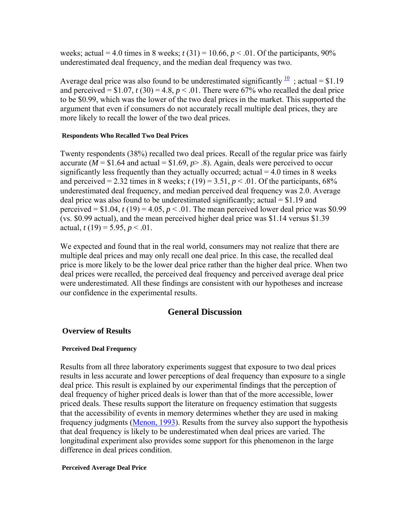weeks; actual  $= 4.0$  times in 8 weeks;  $t(31) = 10.66$ ,  $p < .01$ . Of the participants, 90% underestimated deal frequency, and the median deal frequency was two.

Average deal price was also found to be underestimated significantly  $\frac{10}{10}$ ; actual = \$1.19 and perceived =  $$1.07, t(30) = 4.8, p < .01$ . There were 67% who recalled the deal price to be \$0.99, which was the lower of the two deal prices in the market. This supported the argument that even if consumers do not accurately recall multiple deal prices, they are more likely to recall the lower of the two deal prices.

#### **Respondents Who Recalled Two Deal Prices**

Twenty respondents (38%) recalled two deal prices. Recall of the regular price was fairly accurate ( $M = $1.64$  and actual = \$1.69,  $p > .8$ ). Again, deals were perceived to occur significantly less frequently than they actually occurred; actual  $= 4.0$  times in 8 weeks and perceived  $= 2.32$  times in 8 weeks;  $t(19) = 3.51$ ,  $p < .01$ . Of the participants, 68% underestimated deal frequency, and median perceived deal frequency was 2.0. Average deal price was also found to be underestimated significantly; actual  $= $1.19$  and perceived =  $$1.04$ ,  $t(19) = 4.05$ ,  $p < 0.01$ . The mean perceived lower deal price was \$0.99 (vs. \$0.99 actual), and the mean perceived higher deal price was \$1.14 versus \$1.39 actual,  $t(19) = 5.95, p < .01$ .

We expected and found that in the real world, consumers may not realize that there are multiple deal prices and may only recall one deal price. In this case, the recalled deal price is more likely to be the lower deal price rather than the higher deal price. When two deal prices were recalled, the perceived deal frequency and perceived average deal price were underestimated. All these findings are consistent with our hypotheses and increase our confidence in the experimental results.

### **General Discussion**

### **Overview of Results**

#### **Perceived Deal Frequency**

Results from all three laboratory experiments suggest that exposure to two deal prices results in less accurate and lower perceptions of deal frequency than exposure to a single deal price. This result is explained by our experimental findings that the perception of deal frequency of higher priced deals is lower than that of the more accessible, lower priced deals. These results support the literature on frequency estimation that suggests that the accessibility of events in memory determines whether they are used in making frequency judgments (Menon, 1993). Results from the survey also support the hypothesis that deal frequency is likely to be underestimated when deal prices are varied. The longitudinal experiment also provides some support for this phenomenon in the large difference in deal prices condition.

#### **Perceived Average Deal Price**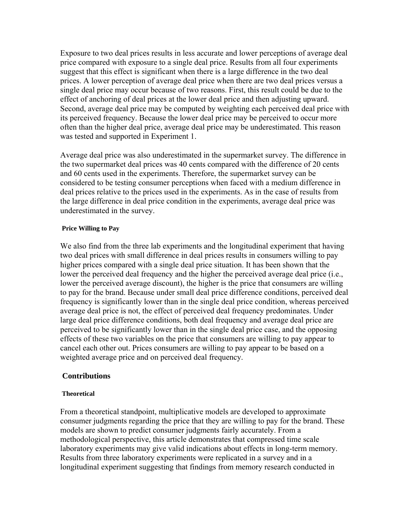Exposure to two deal prices results in less accurate and lower perceptions of average deal price compared with exposure to a single deal price. Results from all four experiments suggest that this effect is significant when there is a large difference in the two deal prices. A lower perception of average deal price when there are two deal prices versus a single deal price may occur because of two reasons. First, this result could be due to the effect of anchoring of deal prices at the lower deal price and then adjusting upward. Second, average deal price may be computed by weighting each perceived deal price with its perceived frequency. Because the lower deal price may be perceived to occur more often than the higher deal price, average deal price may be underestimated. This reason was tested and supported in Experiment 1.

Average deal price was also underestimated in the supermarket survey. The difference in the two supermarket deal prices was 40 cents compared with the difference of 20 cents and 60 cents used in the experiments. Therefore, the supermarket survey can be considered to be testing consumer perceptions when faced with a medium difference in deal prices relative to the prices used in the experiments. As in the case of results from the large difference in deal price condition in the experiments, average deal price was underestimated in the survey.

#### **Price Willing to Pay**

We also find from the three lab experiments and the longitudinal experiment that having two deal prices with small difference in deal prices results in consumers willing to pay higher prices compared with a single deal price situation. It has been shown that the lower the perceived deal frequency and the higher the perceived average deal price (i.e., lower the perceived average discount), the higher is the price that consumers are willing to pay for the brand. Because under small deal price difference conditions, perceived deal frequency is significantly lower than in the single deal price condition, whereas perceived average deal price is not, the effect of perceived deal frequency predominates. Under large deal price difference conditions, both deal frequency and average deal price are perceived to be significantly lower than in the single deal price case, and the opposing effects of these two variables on the price that consumers are willing to pay appear to cancel each other out. Prices consumers are willing to pay appear to be based on a weighted average price and on perceived deal frequency.

### **Contributions**

### **Theoretical**

From a theoretical standpoint, multiplicative models are developed to approximate consumer judgments regarding the price that they are willing to pay for the brand. These models are shown to predict consumer judgments fairly accurately. From a methodological perspective, this article demonstrates that compressed time scale laboratory experiments may give valid indications about effects in long-term memory. Results from three laboratory experiments were replicated in a survey and in a longitudinal experiment suggesting that findings from memory research conducted in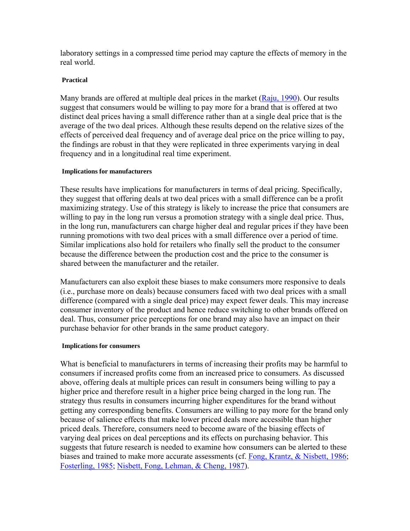laboratory settings in a compressed time period may capture the effects of memory in the real world.

#### **Practical**

Many brands are offered at multiple deal prices in the market (Raju, 1990). Our results suggest that consumers would be willing to pay more for a brand that is offered at two distinct deal prices having a small difference rather than at a single deal price that is the average of the two deal prices. Although these results depend on the relative sizes of the effects of perceived deal frequency and of average deal price on the price willing to pay, the findings are robust in that they were replicated in three experiments varying in deal frequency and in a longitudinal real time experiment.

#### **Implications for manufacturers**

These results have implications for manufacturers in terms of deal pricing. Specifically, they suggest that offering deals at two deal prices with a small difference can be a profit maximizing strategy. Use of this strategy is likely to increase the price that consumers are willing to pay in the long run versus a promotion strategy with a single deal price. Thus, in the long run, manufacturers can charge higher deal and regular prices if they have been running promotions with two deal prices with a small difference over a period of time. Similar implications also hold for retailers who finally sell the product to the consumer because the difference between the production cost and the price to the consumer is shared between the manufacturer and the retailer.

Manufacturers can also exploit these biases to make consumers more responsive to deals (i.e., purchase more on deals) because consumers faced with two deal prices with a small difference (compared with a single deal price) may expect fewer deals. This may increase consumer inventory of the product and hence reduce switching to other brands offered on deal. Thus, consumer price perceptions for one brand may also have an impact on their purchase behavior for other brands in the same product category.

#### **Implications for consumers**

What is beneficial to manufacturers in terms of increasing their profits may be harmful to consumers if increased profits come from an increased price to consumers. As discussed above, offering deals at multiple prices can result in consumers being willing to pay a higher price and therefore result in a higher price being charged in the long run. The strategy thus results in consumers incurring higher expenditures for the brand without getting any corresponding benefits. Consumers are willing to pay more for the brand only because of salience effects that make lower priced deals more accessible than higher priced deals. Therefore, consumers need to become aware of the biasing effects of varying deal prices on deal perceptions and its effects on purchasing behavior. This suggests that future research is needed to examine how consumers can be alerted to these biases and trained to make more accurate assessments (cf. Fong, Krantz, & Nisbett, 1986; Fosterling, 1985; Nisbett, Fong, Lehman, & Cheng, 1987).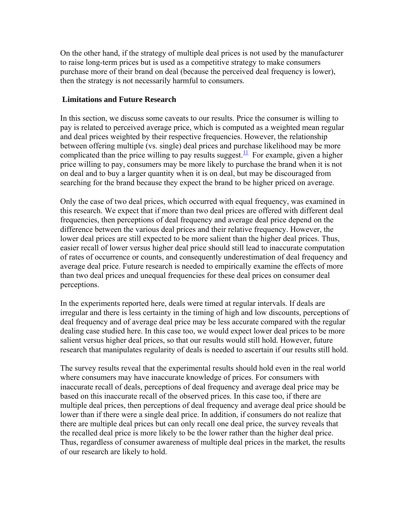On the other hand, if the strategy of multiple deal prices is not used by the manufacturer to raise long-term prices but is used as a competitive strategy to make consumers purchase more of their brand on deal (because the perceived deal frequency is lower), then the strategy is not necessarily harmful to consumers.

### **Limitations and Future Research**

In this section, we discuss some caveats to our results. Price the consumer is willing to pay is related to perceived average price, which is computed as a weighted mean regular and deal prices weighted by their respective frequencies. However, the relationship between offering multiple (vs. single) deal prices and purchase likelihood may be more complicated than the price willing to pay results suggest.<sup>11</sup> For example, given a higher price willing to pay, consumers may be more likely to purchase the brand when it is not on deal and to buy a larger quantity when it is on deal, but may be discouraged from searching for the brand because they expect the brand to be higher priced on average.

Only the case of two deal prices, which occurred with equal frequency, was examined in this research. We expect that if more than two deal prices are offered with different deal frequencies, then perceptions of deal frequency and average deal price depend on the difference between the various deal prices and their relative frequency. However, the lower deal prices are still expected to be more salient than the higher deal prices. Thus, easier recall of lower versus higher deal price should still lead to inaccurate computation of rates of occurrence or counts, and consequently underestimation of deal frequency and average deal price. Future research is needed to empirically examine the effects of more than two deal prices and unequal frequencies for these deal prices on consumer deal perceptions.

In the experiments reported here, deals were timed at regular intervals. If deals are irregular and there is less certainty in the timing of high and low discounts, perceptions of deal frequency and of average deal price may be less accurate compared with the regular dealing case studied here. In this case too, we would expect lower deal prices to be more salient versus higher deal prices, so that our results would still hold. However, future research that manipulates regularity of deals is needed to ascertain if our results still hold.

The survey results reveal that the experimental results should hold even in the real world where consumers may have inaccurate knowledge of prices. For consumers with inaccurate recall of deals, perceptions of deal frequency and average deal price may be based on this inaccurate recall of the observed prices. In this case too, if there are multiple deal prices, then perceptions of deal frequency and average deal price should be lower than if there were a single deal price. In addition, if consumers do not realize that there are multiple deal prices but can only recall one deal price, the survey reveals that the recalled deal price is more likely to be the lower rather than the higher deal price. Thus, regardless of consumer awareness of multiple deal prices in the market, the results of our research are likely to hold.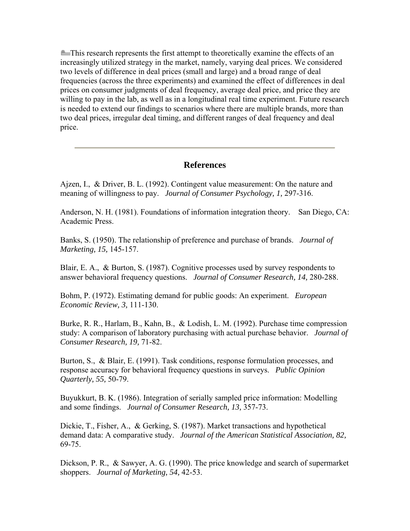This research represents the first attempt to theoretically examine the effects of an increasingly utilized strategy in the market, namely, varying deal prices. We considered two levels of difference in deal prices (small and large) and a broad range of deal frequencies (across the three experiments) and examined the effect of differences in deal prices on consumer judgments of deal frequency, average deal price, and price they are willing to pay in the lab, as well as in a longitudinal real time experiment. Future research is needed to extend our findings to scenarios where there are multiple brands, more than two deal prices, irregular deal timing, and different ranges of deal frequency and deal price.

## **References**

Ajzen, I., & Driver, B. L. (1992). Contingent value measurement: On the nature and meaning of willingness to pay. *Journal of Consumer Psychology, 1,* 297-316.

Anderson, N. H. (1981). Foundations of information integration theory. San Diego, CA: Academic Press.

Banks, S. (1950). The relationship of preference and purchase of brands. *Journal of Marketing, 15,* 145-157.

Blair, E. A., & Burton, S. (1987). Cognitive processes used by survey respondents to answer behavioral frequency questions. *Journal of Consumer Research, 14,* 280-288.

Bohm, P. (1972). Estimating demand for public goods: An experiment. *European Economic Review, 3,* 111-130.

Burke, R. R., Harlam, B., Kahn, B., & Lodish, L. M. (1992). Purchase time compression study: A comparison of laboratory purchasing with actual purchase behavior. *Journal of Consumer Research, 19,* 71-82.

Burton, S., & Blair, E. (1991). Task conditions, response formulation processes, and response accuracy for behavioral frequency questions in surveys. *Public Opinion Quarterly, 55,* 50-79.

Buyukkurt, B. K. (1986). Integration of serially sampled price information: Modelling and some findings. *Journal of Consumer Research, 13,* 357-73.

Dickie, T., Fisher, A., & Gerking, S. (1987). Market transactions and hypothetical demand data: A comparative study. *Journal of the American Statistical Association, 82,*  69-75.

Dickson, P. R., & Sawyer, A. G. (1990). The price knowledge and search of supermarket shoppers. *Journal of Marketing, 54,* 42-53.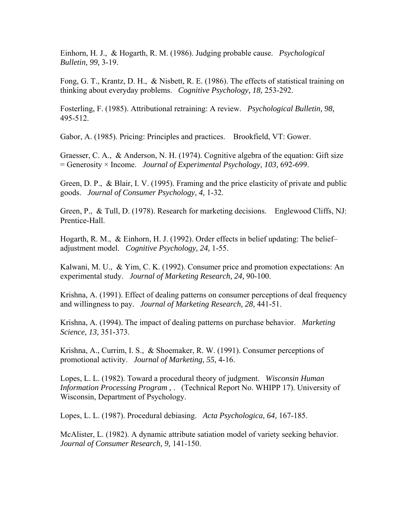Einhorn, H. J., & Hogarth, R. M. (1986). Judging probable cause. *Psychological Bulletin, 99,* 3-19.

Fong, G. T., Krantz, D. H., & Nisbett, R. E. (1986). The effects of statistical training on thinking about everyday problems. *Cognitive Psychology, 18,* 253-292.

Fosterling, F. (1985). Attributional retraining: A review. *Psychological Bulletin, 98,*  495-512.

Gabor, A. (1985). Pricing: Principles and practices. Brookfield, VT: Gower.

Graesser, C. A., & Anderson, N. H. (1974). Cognitive algebra of the equation: Gift size = Generosity × Income. *Journal of Experimental Psychology, 103,* 692-699.

Green, D. P., & Blair, I. V. (1995). Framing and the price elasticity of private and public goods. *Journal of Consumer Psychology, 4,* 1-32.

Green, P., & Tull, D. (1978). Research for marketing decisions. Englewood Cliffs, NJ: Prentice-Hall.

Hogarth, R. M., & Einhorn, H. J. (1992). Order effects in belief updating: The beliefadjustment model. *Cognitive Psychology, 24,* 1-55.

Kalwani, M. U., & Yim, C. K. (1992). Consumer price and promotion expectations: An experimental study. *Journal of Marketing Research, 24,* 90-100.

Krishna, A. (1991). Effect of dealing patterns on consumer perceptions of deal frequency and willingness to pay. *Journal of Marketing Research, 28,* 441-51.

Krishna, A. (1994). The impact of dealing patterns on purchase behavior. *Marketing Science, 13,* 351-373.

Krishna, A., Currim, I. S., & Shoemaker, R. W. (1991). Consumer perceptions of promotional activity. *Journal of Marketing, 55,* 4-16.

Lopes, L. L. (1982). Toward a procedural theory of judgment. *Wisconsin Human Information Processing Program ,* . (Technical Report No. WHIPP 17). University of Wisconsin, Department of Psychology.

Lopes, L. L. (1987). Procedural debiasing. *Acta Psychologica, 64,* 167-185.

McAlister, L. (1982). A dynamic attribute satiation model of variety seeking behavior. *Journal of Consumer Research, 9,* 141-150.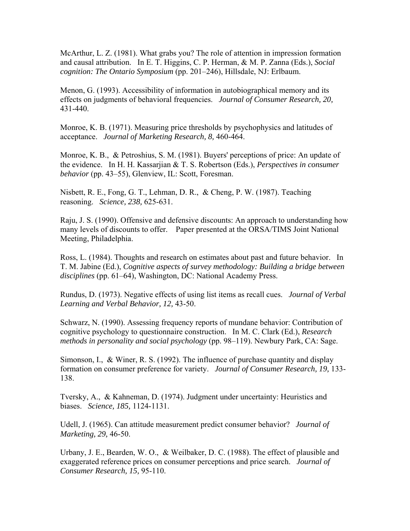McArthur, L. Z. (1981). What grabs you? The role of attention in impression formation and causal attribution. In E. T. Higgins, C. P. Herman, & M. P. Zanna (Eds.), *Social cognition: The Ontario Symposium* (pp. 201–246), Hillsdale, NJ: Erlbaum.

Menon, G. (1993). Accessibility of information in autobiographical memory and its effects on judgments of behavioral frequencies. *Journal of Consumer Research, 20,*  431-440.

Monroe, K. B. (1971). Measuring price thresholds by psychophysics and latitudes of acceptance. *Journal of Marketing Research, 8,* 460-464.

Monroe, K. B., & Petroshius, S. M. (1981). Buyers' perceptions of price: An update of the evidence. In H. H. Kassarjian & T. S. Robertson (Eds.), *Perspectives in consumer behavior* (pp. 43–55), Glenview, IL: Scott, Foresman.

Nisbett, R. E., Fong, G. T., Lehman, D. R., & Cheng, P. W. (1987). Teaching reasoning. *Science, 238,* 625-631.

Raju, J. S. (1990). Offensive and defensive discounts: An approach to understanding how many levels of discounts to offer. Paper presented at the ORSA/TIMS Joint National Meeting, Philadelphia.

Ross, L. (1984). Thoughts and research on estimates about past and future behavior. In T. M. Jabine (Ed.), *Cognitive aspects of survey methodology: Building a bridge between disciplines* (pp. 61–64), Washington, DC: National Academy Press.

Rundus, D. (1973). Negative effects of using list items as recall cues. *Journal of Verbal Learning and Verbal Behavior, 12,* 43-50.

Schwarz, N. (1990). Assessing frequency reports of mundane behavior: Contribution of cognitive psychology to questionnaire construction. In M. C. Clark (Ed.), *Research methods in personality and social psychology* (pp. 98–119). Newbury Park, CA: Sage.

Simonson, I., & Winer, R. S. (1992). The influence of purchase quantity and display formation on consumer preference for variety. *Journal of Consumer Research, 19,* 133- 138.

Tversky, A., & Kahneman, D. (1974). Judgment under uncertainty: Heuristics and biases. *Science, 185,* 1124-1131.

Udell, J. (1965). Can attitude measurement predict consumer behavior? *Journal of Marketing, 29,* 46-50.

Urbany, J. E., Bearden, W. O., & Weilbaker, D. C. (1988). The effect of plausible and exaggerated reference prices on consumer perceptions and price search. *Journal of Consumer Research, 15,* 95-110.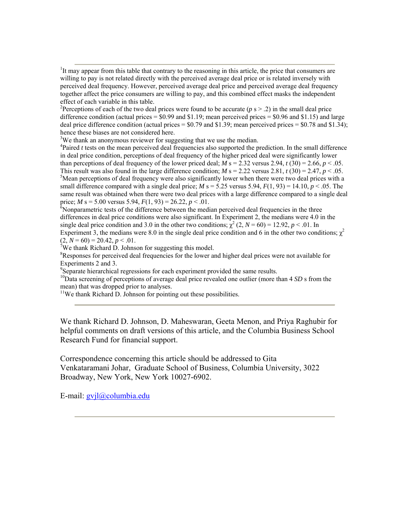<sup>1</sup>It may appear from this table that contrary to the reasoning in this article, the price that consumers are willing to pay is not related directly with the perceived average deal price or is related inversely with perceived deal frequency. However, perceived average deal price and perceived average deal frequency together affect the price consumers are willing to pay, and this combined effect masks the independent effect of each variable in this table.

<sup>2</sup>Perceptions of each of the two deal prices were found to be accurate ( $p$  s > .2) in the small deal price difference condition (actual prices  $=$  \$0.99 and \$1.19; mean perceived prices  $=$  \$0.96 and \$1.15) and large deal price difference condition (actual prices  $=$  \$0.79 and \$1.39; mean perceived prices  $=$  \$0.78 and \$1.34); hence these biases are not considered here.

 $3W$ e thank an anonymous reviewer for suggesting that we use the median.

<sup>4</sup>Paired *t* tests on the mean perceived deal frequencies also supported the prediction. In the small difference in deal price condition, perceptions of deal frequency of the higher priced deal were significantly lower than perceptions of deal frequency of the lower priced deal;  $M s = 2.32$  versus  $2.94$ ,  $t (30) = 2.66$ ,  $p < .05$ . This result was also found in the large difference condition;  $M s = 2.22$  versus 2.81,  $t (30) = 2.47$ ,  $p < .05$ . <sup>5</sup>Mean perceptions of deal frequency were also significantly lower when there were two deal prices with a small difference compared with a single deal price;  $M$  s = 5.25 versus 5.94,  $F(1, 93) = 14.10$ ,  $p < .05$ . The same result was obtained when there were two deal prices with a large difference compared to a single deal price; *M* s = 5.00 versus 5.94,  $F(1, 93) = 26.22$ ,  $p < .01$ .<br><sup>6</sup>Nonparametric tests of the difference between the median perceived deal frequencies in the three

differences in deal price conditions were also significant. In Experiment 2, the medians were 4.0 in the single deal price condition and 3.0 in the other two conditions;  $\chi^2$  (2, *N* = 60) = 12.92, *p* < .01. In Experiment 3, the medians were 8.0 in the single deal price condition and 6 in the other two conditions;  $\chi^2$  $(2, N = 60) = 20.42, p < 0.01$ .

 $\sqrt{N}$ We thank Richard D. Johnson for suggesting this model.

<sup>8</sup>Responses for perceived deal frequencies for the lower and higher deal prices were not available for Experiments 2 and 3.

<sup>9</sup>Separate hierarchical regressions for each experiment provided the same results.

<sup>10</sup>Data screening of perceptions of average deal price revealed one outlier (more than 4 *SD* s from the mean) that was dropped prior to analyses.

 $11$ We thank Richard D. Johnson for pointing out these possibilities.

We thank Richard D. Johnson, D. Maheswaran, Geeta Menon, and Priya Raghubir for helpful comments on draft versions of this article, and the Columbia Business School Research Fund for financial support.

Correspondence concerning this article should be addressed to Gita Venkataramani Johar, Graduate School of Business, Columbia University, 3022 Broadway, New York, New York 10027-6902.

E-mail: gvjl@columbia.edu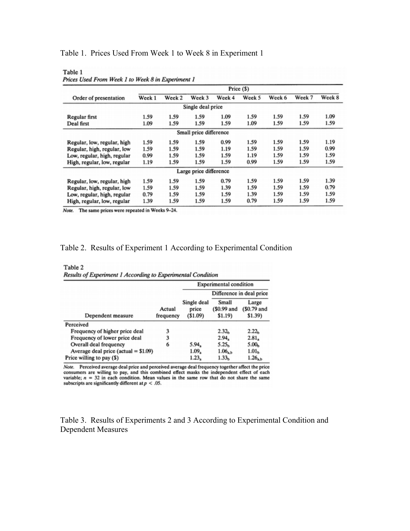## Table 1. Prices Used From Week 1 to Week 8 in Experiment 1

|                             | Price $(S)$ |        |                        |        |        |        |        |        |
|-----------------------------|-------------|--------|------------------------|--------|--------|--------|--------|--------|
| Order of presentation       | Week 1      | Week 2 | Week 3                 | Week 4 | Week 5 | Week 6 | Week 7 | Week 8 |
|                             |             |        | Single deal price      |        |        |        |        |        |
| Regular first               | 1.59        | 1.59   | 1.59                   | 1.09   | 1.59   | 1.59   | 1.59   | 1.09   |
| Deal first                  | 1.09        | 1.59   | 1.59                   | 1.59   | 1.09   | 1.59   | 1.59   | 1.59   |
|                             |             |        | Small price difference |        |        |        |        |        |
| Regular, low, regular, high | 1.59        | 1.59   | 1.59                   | 0.99   | 1.59   | 1.59   | 1.59   | 1.19   |
| Regular, high, regular, low | 1.59        | 1.59   | 1.59                   | 1.19   | 1.59   | 1.59   | 1.59   | 0.99   |
| Low, regular, high, regular | 0.99        | 1.59   | 1.59                   | 1.59   | 1.19   | 1.59   | 1.59   | 1.59   |
| High, regular, low, regular | 1.19        | 1.59   | 1.59                   | 1.59   | 0.99   | 1.59   | 1.59   | 1.59   |
|                             |             |        | Large price difference |        |        |        |        |        |
| Regular, low, regular, high | 1.59        | 1.59   | 1.59                   | 0.79   | 1.59   | 1.59   | 1.59   | 1.39   |
| Regular, high, regular, low | 1.59        | 1.59   | 1.59                   | 1.39   | 1.59   | 1.59   | 1.59   | 0.79   |
| Low, regular, high, regular | 0.79        | 1.59   | 1.59                   | 1.59   | 1.39   | 1.59   | 1.59   | 1.59   |
| High, regular, low, regular | 1.39        | 1.59   | 1.59                   | 1.59   | 0.79   | 1.59   | 1.59   | 1.59   |

#### Table 1 Prices Used From Week 1 to Week 8 in Experiment 1

Note. The same prices were repeated in Weeks 9-24.

### Table 2. Results of Experiment 1 According to Experimental Condition

| Table 2                                                     |  |
|-------------------------------------------------------------|--|
| Results of Experiment 1 According to Experimental Condition |  |

|                                        | Actual<br>frequency | <b>Experimental condition</b>     |                                   |                                 |  |
|----------------------------------------|---------------------|-----------------------------------|-----------------------------------|---------------------------------|--|
|                                        |                     |                                   | Difference in deal price          |                                 |  |
| Dependent measure                      |                     | Single deal<br>price<br>( \$1.09) | Small<br>$$0.99$ and<br>$$1.19$ ) | Large<br>$$0.79$ and<br>\$1.39) |  |
| Perceived                              |                     |                                   |                                   |                                 |  |
| Frequency of higher price deal         | 3                   |                                   | 2.32 <sub>b</sub>                 | 2.22 <sub>b</sub>               |  |
| Frequency of lower price deal          | 3                   |                                   | 2.94.                             | 2.81 <sub>a</sub>               |  |
| Overall deal frequency                 | 6                   | 5.94,                             | 5.25 <sub>b</sub>                 | 5.00 <sub>b</sub>               |  |
| Average deal price (actual $= $1.09$ ) |                     | 1.09.                             | 1.06 <sub>a,b</sub>               | 1.01 <sub>b</sub>               |  |
| Price willing to pay (\$)              |                     | 1.23 <sub>a</sub>                 | 1.33 <sub>b</sub>                 | $1.26_{\rm ab}$                 |  |

*Note.* Perceived average deal price and perceived average deal frequency together affect the price consumers are willing to pay, and this combined effect masks the independent effect of each variable;  $n = 32$  in each con

Table 3. Results of Experiments 2 and 3 According to Experimental Condition and Dependent Measures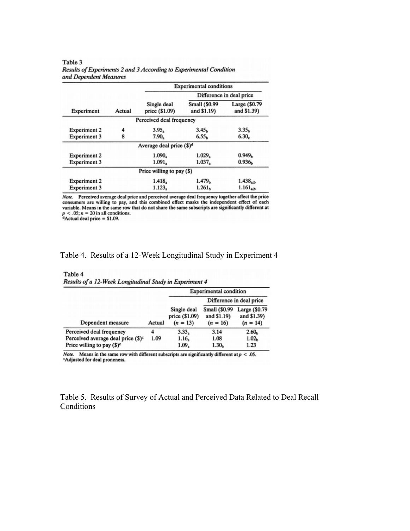|                     |        |                               | <b>Experimental conditions</b> |                              |  |  |
|---------------------|--------|-------------------------------|--------------------------------|------------------------------|--|--|
|                     |        |                               | Difference in deal price       |                              |  |  |
| Experiment          | Actual | Single deal<br>price (\$1.09) | Small (\$0.99<br>and \$1.19)   | Large (\$0.79<br>and \$1.39) |  |  |
|                     |        | Perceived deal frequency      |                                |                              |  |  |
| <b>Experiment 2</b> | 4      | $3.95_a$                      | 3.45 <sub>b</sub>              | 3.35 <sub>b</sub>            |  |  |
| Experiment 3        | 8      | 7.90 <sub>a</sub>             | 6.55 <sub>b</sub>              | 6.30 <sub>c</sub>            |  |  |
|                     |        | Average deal price (\$)d      |                                |                              |  |  |
| <b>Experiment 2</b> |        | 1.090.                        | 1.029,                         | 0.949 <sub>b</sub>           |  |  |
| Experiment 3        |        | 1.091.                        | 1.037,                         | 0.936 <sub>b</sub>           |  |  |
|                     |        | Price willing to pay (\$)     |                                |                              |  |  |
| <b>Experiment 2</b> |        | $1.418_n$                     | 1.479 <sub>b</sub>             | $1.438_{ab}$                 |  |  |
| <b>Experiment 3</b> |        | 1.123 <sub>a</sub>            | 1.261 <sub>b</sub>             | $1.161_{ab}$                 |  |  |

#### Table 3 Results of Experiments 2 and 3 According to Experimental Condition and Dependent Measures

*Note.* Perceived average deal price and perceived average deal frequency together affect the price consumers are willing to pay, and this combined effect masks the independent effect of each variable. Means in the same r

### Table 4. Results of a 12-Week Longitudinal Study in Experiment 4

#### Table 4 Results of a 12-Week Longitudinal Study in Experiment 4

|                                                                            |        | <b>Experimental condition</b>               |                                            |                                            |  |
|----------------------------------------------------------------------------|--------|---------------------------------------------|--------------------------------------------|--------------------------------------------|--|
|                                                                            |        |                                             | Difference in deal price                   |                                            |  |
| Dependent measure                                                          | Actual | Single deal<br>price (\$1.09)<br>$(n = 13)$ | Small (\$0.99<br>and \$1.19)<br>$(n = 16)$ | Large (\$0.79<br>and \$1.39)<br>$(n = 14)$ |  |
| Perceived deal frequency<br>Perceived average deal price (\$) <sup>c</sup> | 1.09   | 3.33 <sub>a</sub><br>$1.16_a$               | 3.14<br>1.08                               | 2.60 <sub>b</sub><br>1.02 <sub>b</sub>     |  |
| Price willing to pay $(\$)^c$                                              |        | $1.09_a$                                    | 1.30 <sub>b</sub>                          | 1.23                                       |  |

Note. Means in the same row with different subscripts are significantly different at  $p < .05$ . "Adjusted for deal proneness.

Table 5. Results of Survey of Actual and Perceived Data Related to Deal Recall Conditions